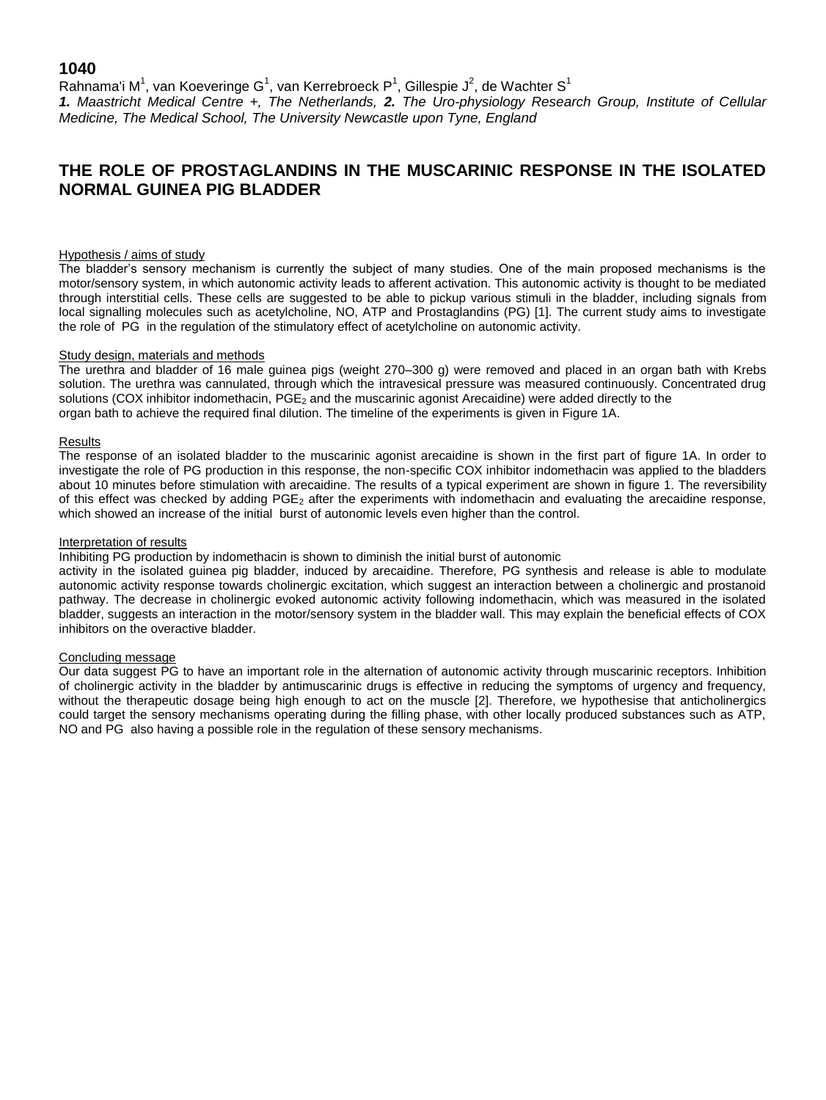## **1040**

Rahnama'i M<sup>1</sup>, van Koeveringe G<sup>1</sup>, van Kerrebroeck P<sup>1</sup>, Gillespie J<sup>2</sup>, de Wachter S<sup>1</sup> *1. Maastricht Medical Centre +, The Netherlands, 2. The Uro-physiology Research Group, Institute of Cellular Medicine, The Medical School, The University Newcastle upon Tyne, England*

# **THE ROLE OF PROSTAGLANDINS IN THE MUSCARINIC RESPONSE IN THE ISOLATED NORMAL GUINEA PIG BLADDER**

#### Hypothesis / aims of study

The bladder's sensory mechanism is currently the subject of many studies. One of the main proposed mechanisms is the motor/sensory system, in which autonomic activity leads to afferent activation. This autonomic activity is thought to be mediated through interstitial cells. These cells are suggested to be able to pickup various stimuli in the bladder, including signals from local signalling molecules such as acetylcholine, NO, ATP and Prostaglandins (PG) [1]. The current study aims to investigate the role of PG in the regulation of the stimulatory effect of acetylcholine on autonomic activity.

#### Study design, materials and methods

The urethra and bladder of 16 male guinea pigs (weight 270–300 g) were removed and placed in an organ bath with Krebs solution. The urethra was cannulated, through which the intravesical pressure was measured continuously. Concentrated drug solutions (COX inhibitor indomethacin, PGE<sub>2</sub> and the muscarinic agonist Arecaidine) were added directly to the organ bath to achieve the required final dilution. The timeline of the experiments is given in Figure 1A.

#### Results

The response of an isolated bladder to the muscarinic agonist arecaidine is shown in the first part of figure 1A. In order to investigate the role of PG production in this response, the non-specific COX inhibitor indomethacin was applied to the bladders about 10 minutes before stimulation with arecaidine. The results of a typical experiment are shown in figure 1. The reversibility of this effect was checked by adding  $PGE_2$  after the experiments with indomethacin and evaluating the arecaidine response, which showed an increase of the initial burst of autonomic levels even higher than the control.

#### Interpretation of results

Inhibiting PG production by indomethacin is shown to diminish the initial burst of autonomic

activity in the isolated guinea pig bladder, induced by arecaidine. Therefore, PG synthesis and release is able to modulate autonomic activity response towards cholinergic excitation, which suggest an interaction between a cholinergic and prostanoid pathway. The decrease in cholinergic evoked autonomic activity following indomethacin, which was measured in the isolated bladder, suggests an interaction in the motor/sensory system in the bladder wall. This may explain the beneficial effects of COX inhibitors on the overactive bladder.

### Concluding message

Our data suggest PG to have an important role in the alternation of autonomic activity through muscarinic receptors. Inhibition of cholinergic activity in the bladder by antimuscarinic drugs is effective in reducing the symptoms of urgency and frequency, without the therapeutic dosage being high enough to act on the muscle [2]. Therefore, we hypothesise that anticholinergics could target the sensory mechanisms operating during the filling phase, with other locally produced substances such as ATP, NO and PG also having a possible role in the regulation of these sensory mechanisms.